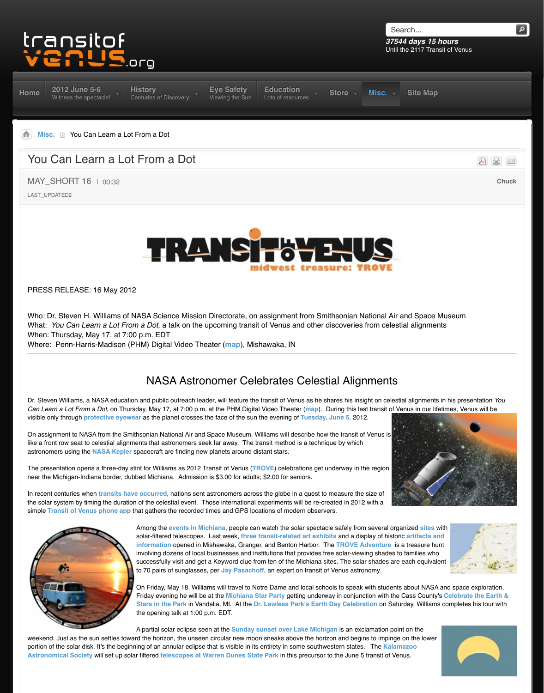## PRESS RELEASE: 16 May 2012

Who: Dr. Steven H. Williams of NASA Science Mission Directorate, on assignment from Sn What: *You Can Learn a Lot From a Dot*, a talk on the upcoming transit of Venus and other When: Thursday, May 17, at 7:00 p.m. EDT

Where: Penn-Harris-Madison (PHM) Digital Video Theater (**map**), Mishawaka, IN

## **[NASA Astro](http://www.transitofvenus.org/history)[nomer Cel](http://www.transitofvenus.org/june2012/eye-safety)[ebrates Celes](http://www.transitofvenus.org/education)[tial Alig](http://www.transitofvenus.org/store)[nments](http://www.transitofvenus.org/misc)**

Dr. Steven Williams, a NASA education and public outreach leader, will feature the transit of Venus as he stares *[C](http://www.transitofvenus.org/)[an Learn a](http://www.transitofvenus.org/misc) Lot From a Dot*, on Thursday, May 17, at 7:00 p.m. at the PHM Digital Video Theater (map). visible only through **protective eyewear** as the planet crosses the face of the sun the evening of Tuesday

On assignment to NASA from the Smithsonian National Air and Space Museum, Williams will describe how like a front row seat to celestial alignments that astronomers seek far away. The transit method is a techn astronomers using the **NASA Kepler** spacecraft are finding new planets around distant stars.

The presentation opens a three-day stint for Williams as 2012 Transit of Venus (**TROVE**) celebrations get near the Michigan-Indiana border, dubbed Michiana. Admission is \$3.00 for adults; \$2.00 for seniors.

In recent centuries when *transits have occurred*, nations sent astronomers across the globe in a quest to the solar system by timing the duration of the celestial event. Those international experiments will be re-c simple **Transit of Venus phone app** that gathers the recorded times and GPS locations of modern obser



Among the *events in Michiana*, people can watch the solar specta solar-filtered telescopes. Last week, three transit-related art exhi **information** opened in Mishawaka, Granger, and Benton Harbor. involving dozens of local businesses and institutions that provides f successfully visit and get a Keyword clue from ten of the Michiana s to 70 pairs of sunglasses, per Jay Pasachoff, an expert on transit

On Friday, May 18, Williams will travel to Notre Dame and local schools to speak with students and space exploration. Friday evening he will be at the Michiana Star Party getting under Stars in the Park in Vandalia, MI. At the Dr. Lawless Park's Earth the opening talk at 1:00 p.m. E[DT.](http://www.bing.com/maps/?v=2&cp=qydg217tqxs0&lvl=18.213472132516717&dir=4.722599367318484&sty=b&ss=yp.planetarium%7Epg.1%7Erad.0,225750797931635&form=LMLTCC)

A partial solar eclipse seen at the **Sunday sunset over Lake Mich** 

weekend. Just as the sun settles toward the horizon, the unseen circular new moon sneaks above the hor portion of the solar disk. It's the beginning of an annular eclipse that is visible in its entirety in some southy Astronomical Society will set up solar filtered telescopes at Warren Dunes State Park in this precursor